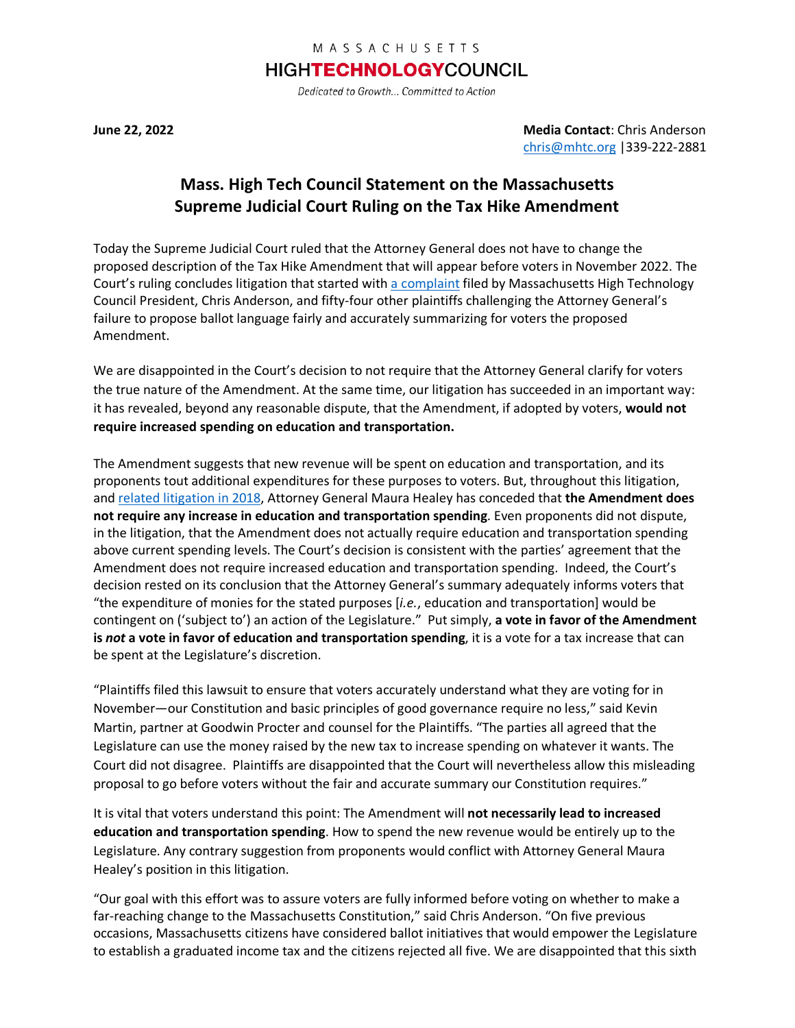## MASSACHUSETTS

## **HIGHTECHNOLOGYCOUNCIL**

Dedicated to Growth... Committed to Action

**June 22, 2022 Media Contact**: Chris Anderson [chris@mhtc.org](mailto:chris@mhtc.org) |339-222-2881

## **Mass. High Tech Council Statement on the Massachusetts Supreme Judicial Court Ruling on the Tax Hike Amendment**

Today the Supreme Judicial Court ruled that the Attorney General does not have to change the proposed description of the Tax Hike Amendment that will appear before voters in November 2022. The Court's ruling concludes litigation that started with [a complaint](http://www.mhtc.org/wp-content/uploads/2022/01/MHTC-Complaint_1.27.22.pdf) filed by Massachusetts High Technology Council President, Chris Anderson, and fifty-four other plaintiffs challenging the Attorney General's failure to propose ballot language fairly and accurately summarizing for voters the proposed Amendment.

We are disappointed in the Court's decision to not require that the Attorney General clarify for voters the true nature of the Amendment. At the same time, our litigation has succeeded in an important way: it has revealed, beyond any reasonable dispute, that the Amendment, if adopted by voters, **would not require increased spending on education and transportation.**

The Amendment suggests that new revenue will be spent on education and transportation, and its proponents tout additional expenditures for these purposes to voters. But, throughout this litigation, and [related litigation in](https://www.mhtc.org/wp-content/uploads/2019/03/SJC-DECISION-Plaintiff-Statement-06.18.18-FINAL-002.pdf) 2018, Attorney General Maura Healey has conceded that **the Amendment does not require any increase in education and transportation spending**. Even proponents did not dispute, in the litigation, that the Amendment does not actually require education and transportation spending above current spending levels. The Court's decision is consistent with the parties' agreement that the Amendment does not require increased education and transportation spending. Indeed, the Court's decision rested on its conclusion that the Attorney General's summary adequately informs voters that "the expenditure of monies for the stated purposes [*i.e.*, education and transportation] would be contingent on ('subject to') an action of the Legislature." Put simply, **a vote in favor of the Amendment is** *not* **a vote in favor of education and transportation spending**, it is a vote for a tax increase that can be spent at the Legislature's discretion.

"Plaintiffs filed this lawsuit to ensure that voters accurately understand what they are voting for in November—our Constitution and basic principles of good governance require no less," said Kevin Martin, partner at Goodwin Procter and counsel for the Plaintiffs. "The parties all agreed that the Legislature can use the money raised by the new tax to increase spending on whatever it wants. The Court did not disagree. Plaintiffs are disappointed that the Court will nevertheless allow this misleading proposal to go before voters without the fair and accurate summary our Constitution requires."

It is vital that voters understand this point: The Amendment will **not necessarily lead to increased education and transportation spending**. How to spend the new revenue would be entirely up to the Legislature. Any contrary suggestion from proponents would conflict with Attorney General Maura Healey's position in this litigation.

"Our goal with this effort was to assure voters are fully informed before voting on whether to make a far-reaching change to the Massachusetts Constitution," said Chris Anderson. "On five previous occasions, Massachusetts citizens have considered ballot initiatives that would empower the Legislature to establish a graduated income tax and the citizens rejected all five. We are disappointed that this sixth